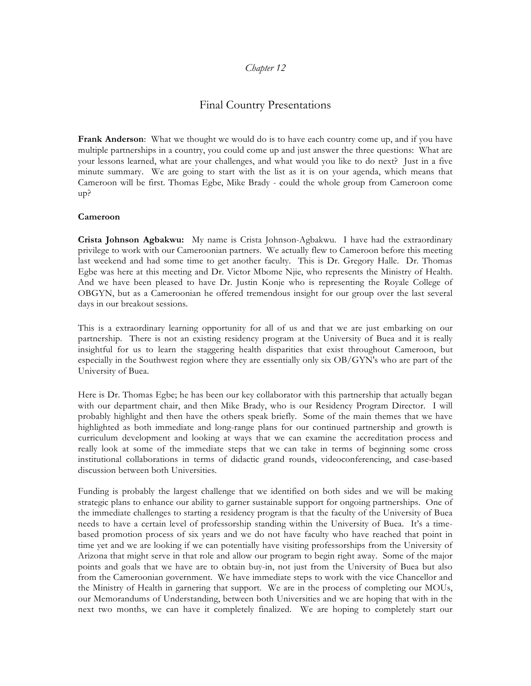# *Chapter 12*

# Final Country Presentations

**Frank Anderson**: What we thought we would do is to have each country come up, and if you have multiple partnerships in a country, you could come up and just answer the three questions: What are your lessons learned, what are your challenges, and what would you like to do next? Just in a five minute summary. We are going to start with the list as it is on your agenda, which means that Cameroon will be first. Thomas Egbe, Mike Brady - could the whole group from Cameroon come up?

## **Cameroon**

**Crista Johnson Agbakwu:** My name is Crista Johnson-Agbakwu. I have had the extraordinary privilege to work with our Cameroonian partners. We actually flew to Cameroon before this meeting last weekend and had some time to get another faculty. This is Dr. Gregory Halle. Dr. Thomas Egbe was here at this meeting and Dr. Victor Mbome Njie, who represents the Ministry of Health. And we have been pleased to have Dr. Justin Konje who is representing the Royale College of OBGYN, but as a Cameroonian he offered tremendous insight for our group over the last several days in our breakout sessions.

This is a extraordinary learning opportunity for all of us and that we are just embarking on our partnership. There is not an existing residency program at the University of Buea and it is really insightful for us to learn the staggering health disparities that exist throughout Cameroon, but especially in the Southwest region where they are essentially only six OB/GYN's who are part of the University of Buea.

Here is Dr. Thomas Egbe; he has been our key collaborator with this partnership that actually began with our department chair, and then Mike Brady, who is our Residency Program Director. I will probably highlight and then have the others speak briefly. Some of the main themes that we have highlighted as both immediate and long-range plans for our continued partnership and growth is curriculum development and looking at ways that we can examine the accreditation process and really look at some of the immediate steps that we can take in terms of beginning some cross institutional collaborations in terms of didactic grand rounds, videoconferencing, and case-based discussion between both Universities.

Funding is probably the largest challenge that we identified on both sides and we will be making strategic plans to enhance our ability to garner sustainable support for ongoing partnerships. One of the immediate challenges to starting a residency program is that the faculty of the University of Buea needs to have a certain level of professorship standing within the University of Buea. It's a timebased promotion process of six years and we do not have faculty who have reached that point in time yet and we are looking if we can potentially have visiting professorships from the University of Arizona that might serve in that role and allow our program to begin right away. Some of the major points and goals that we have are to obtain buy-in, not just from the University of Buea but also from the Cameroonian government. We have immediate steps to work with the vice Chancellor and the Ministry of Health in garnering that support. We are in the process of completing our MOUs, our Memorandums of Understanding, between both Universities and we are hoping that with in the next two months, we can have it completely finalized. We are hoping to completely start our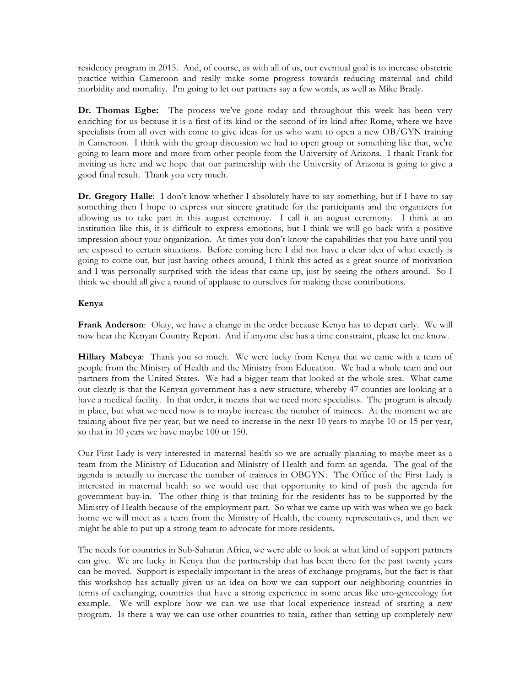residency program in 2015. And, of course, as with all of us, our eventual goal is to increase obstetric practice within Cameroon and really make some progress towards reducing maternal and child morbidity and mortality. I'm going to let our partners say a few words, as well as Mike Brady.

**Dr. Thomas Egbe:** The process we've gone today and throughout this week has been very enriching for us because it is a first of its kind or the second of its kind after Rome, where we have specialists from all over with come to give ideas for us who want to open a new OB/GYN training in Cameroon. I think with the group discussion we had to open group or something like that, we're going to learn more and more from other people from the University of Arizona. I thank Frank for inviting us here and we hope that our partnership with the University of Arizona is going to give a good final result. Thank you very much.

**Dr. Gregory Halle**: I don't know whether I absolutely have to say something, but if I have to say something then I hope to express our sincere gratitude for the participants and the organizers for allowing us to take part in this august ceremony. I call it an august ceremony. I think at an institution like this, it is difficult to express emotions, but I think we will go back with a positive impression about your organization. At times you don't know the capabilities that you have until you are exposed to certain situations. Before coming here I did not have a clear idea of what exactly is going to come out, but just having others around, I think this acted as a great source of motivation and I was personally surprised with the ideas that came up, just by seeing the others around. So I think we should all give a round of applause to ourselves for making these contributions.

## **Kenya**

**Frank Anderson**: Okay, we have a change in the order because Kenya has to depart early. We will now hear the Kenyan Country Report. And if anyone else has a time constraint, please let me know.

**Hillary Mabeya**: Thank you so much. We were lucky from Kenya that we came with a team of people from the Ministry of Health and the Ministry from Education. We had a whole team and our partners from the United States. We had a bigger team that looked at the whole area. What came out clearly is that the Kenyan government has a new structure, whereby 47 counties are looking at a have a medical facility. In that order, it means that we need more specialists. The program is already in place, but what we need now is to maybe increase the number of trainees. At the moment we are training about five per year, but we need to increase in the next 10 years to maybe 10 or 15 per year, so that in 10 years we have maybe 100 or 150.

Our First Lady is very interested in maternal health so we are actually planning to maybe meet as a team from the Ministry of Education and Ministry of Health and form an agenda. The goal of the agenda is actually to increase the number of trainees in OBGYN. The Office of the First Lady is interested in maternal health so we would use that opportunity to kind of push the agenda for government buy-in. The other thing is that training for the residents has to be supported by the Ministry of Health because of the employment part. So what we came up with was when we go back home we will meet as a team from the Ministry of Health, the county representatives, and then we might be able to put up a strong team to advocate for more residents.

The needs for countries in Sub-Saharan Africa, we were able to look at what kind of support partners can give. We are lucky in Kenya that the partnership that has been there for the past twenty years can be moved. Support is especially important in the areas of exchange programs, but the fact is that this workshop has actually given us an idea on how we can support our neighboring countries in terms of exchanging, countries that have a strong experience in some areas like uro-gynecology for example. We will explore how we can we use that local experience instead of starting a new program. Is there a way we can use other countries to train, rather than setting up completely new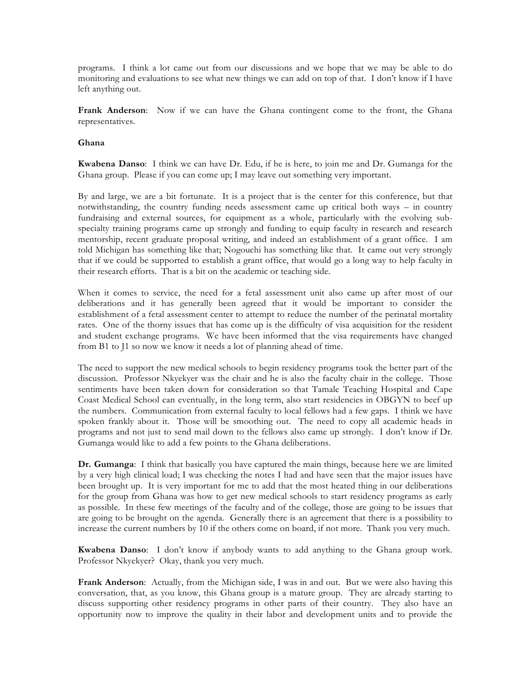programs. I think a lot came out from our discussions and we hope that we may be able to do monitoring and evaluations to see what new things we can add on top of that. I don't know if I have left anything out.

**Frank Anderson**: Now if we can have the Ghana contingent come to the front, the Ghana representatives.

#### **Ghana**

**Kwabena Danso**: I think we can have Dr. Edu, if he is here, to join me and Dr. Gumanga for the Ghana group. Please if you can come up; I may leave out something very important.

By and large, we are a bit fortunate. It is a project that is the center for this conference, but that notwithstanding, the country funding needs assessment came up critical both ways – in country fundraising and external sources, for equipment as a whole, particularly with the evolving subspecialty training programs came up strongly and funding to equip faculty in research and research mentorship, recent graduate proposal writing, and indeed an establishment of a grant office. I am told Michigan has something like that; Nogouchi has something like that. It came out very strongly that if we could be supported to establish a grant office, that would go a long way to help faculty in their research efforts. That is a bit on the academic or teaching side.

When it comes to service, the need for a fetal assessment unit also came up after most of our deliberations and it has generally been agreed that it would be important to consider the establishment of a fetal assessment center to attempt to reduce the number of the perinatal mortality rates. One of the thorny issues that has come up is the difficulty of visa acquisition for the resident and student exchange programs. We have been informed that the visa requirements have changed from B1 to J1 so now we know it needs a lot of planning ahead of time.

The need to support the new medical schools to begin residency programs took the better part of the discussion. Professor Nkyekyer was the chair and he is also the faculty chair in the college. Those sentiments have been taken down for consideration so that Tamale Teaching Hospital and Cape Coast Medical School can eventually, in the long term, also start residencies in OBGYN to beef up the numbers. Communication from external faculty to local fellows had a few gaps. I think we have spoken frankly about it. Those will be smoothing out. The need to copy all academic heads in programs and not just to send mail down to the fellows also came up strongly. I don't know if Dr. Gumanga would like to add a few points to the Ghana deliberations.

**Dr. Gumanga**: I think that basically you have captured the main things, because here we are limited by a very high clinical load; I was checking the notes I had and have seen that the major issues have been brought up. It is very important for me to add that the most heated thing in our deliberations for the group from Ghana was how to get new medical schools to start residency programs as early as possible. In these few meetings of the faculty and of the college, those are going to be issues that are going to be brought on the agenda. Generally there is an agreement that there is a possibility to increase the current numbers by 10 if the others come on board, if not more. Thank you very much.

**Kwabena Danso**: I don't know if anybody wants to add anything to the Ghana group work. Professor Nkyekyer? Okay, thank you very much.

**Frank Anderson**: Actually, from the Michigan side, I was in and out. But we were also having this conversation, that, as you know, this Ghana group is a mature group. They are already starting to discuss supporting other residency programs in other parts of their country. They also have an opportunity now to improve the quality in their labor and development units and to provide the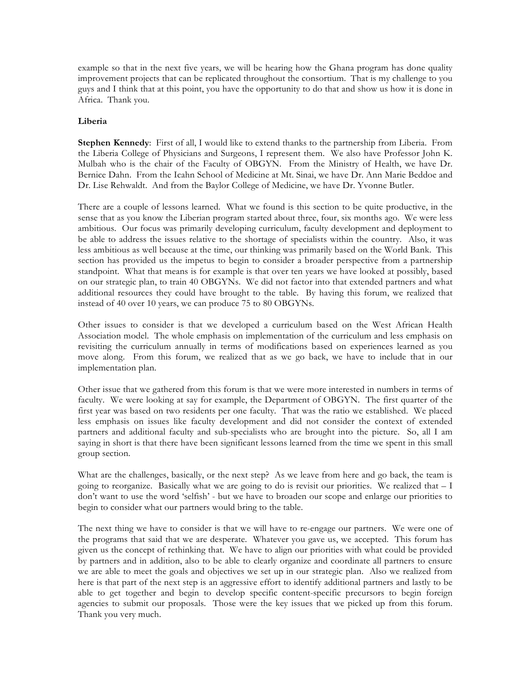example so that in the next five years, we will be hearing how the Ghana program has done quality improvement projects that can be replicated throughout the consortium. That is my challenge to you guys and I think that at this point, you have the opportunity to do that and show us how it is done in Africa. Thank you.

## **Liberia**

**Stephen Kennedy**: First of all, I would like to extend thanks to the partnership from Liberia. From the Liberia College of Physicians and Surgeons, I represent them. We also have Professor John K. Mulbah who is the chair of the Faculty of OBGYN. From the Ministry of Health, we have Dr. Bernice Dahn. From the Icahn School of Medicine at Mt. Sinai, we have Dr. Ann Marie Beddoe and Dr. Lise Rehwaldt. And from the Baylor College of Medicine, we have Dr. Yvonne Butler.

There are a couple of lessons learned. What we found is this section to be quite productive, in the sense that as you know the Liberian program started about three, four, six months ago. We were less ambitious. Our focus was primarily developing curriculum, faculty development and deployment to be able to address the issues relative to the shortage of specialists within the country. Also, it was less ambitious as well because at the time, our thinking was primarily based on the World Bank. This section has provided us the impetus to begin to consider a broader perspective from a partnership standpoint. What that means is for example is that over ten years we have looked at possibly, based on our strategic plan, to train 40 OBGYNs. We did not factor into that extended partners and what additional resources they could have brought to the table. By having this forum, we realized that instead of 40 over 10 years, we can produce 75 to 80 OBGYNs.

Other issues to consider is that we developed a curriculum based on the West African Health Association model. The whole emphasis on implementation of the curriculum and less emphasis on revisiting the curriculum annually in terms of modifications based on experiences learned as you move along. From this forum, we realized that as we go back, we have to include that in our implementation plan.

Other issue that we gathered from this forum is that we were more interested in numbers in terms of faculty. We were looking at say for example, the Department of OBGYN. The first quarter of the first year was based on two residents per one faculty. That was the ratio we established. We placed less emphasis on issues like faculty development and did not consider the context of extended partners and additional faculty and sub-specialists who are brought into the picture. So, all I am saying in short is that there have been significant lessons learned from the time we spent in this small group section.

What are the challenges, basically, or the next step? As we leave from here and go back, the team is going to reorganize. Basically what we are going to do is revisit our priorities. We realized that – I don't want to use the word 'selfish' - but we have to broaden our scope and enlarge our priorities to begin to consider what our partners would bring to the table.

The next thing we have to consider is that we will have to re-engage our partners. We were one of the programs that said that we are desperate. Whatever you gave us, we accepted. This forum has given us the concept of rethinking that. We have to align our priorities with what could be provided by partners and in addition, also to be able to clearly organize and coordinate all partners to ensure we are able to meet the goals and objectives we set up in our strategic plan. Also we realized from here is that part of the next step is an aggressive effort to identify additional partners and lastly to be able to get together and begin to develop specific content-specific precursors to begin foreign agencies to submit our proposals. Those were the key issues that we picked up from this forum. Thank you very much.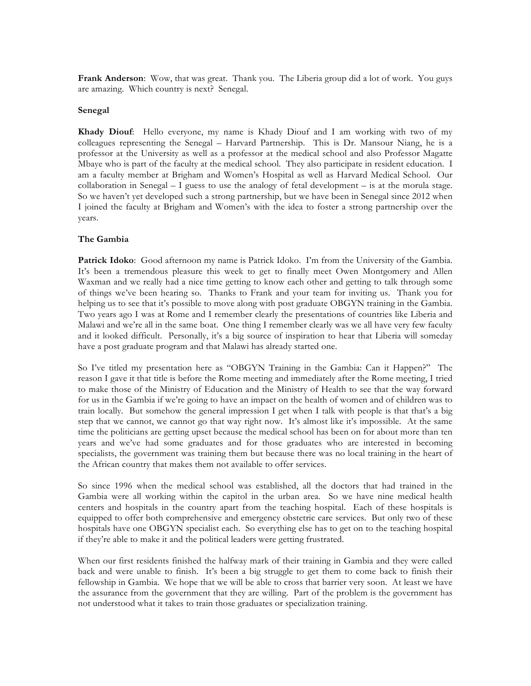**Frank Anderson**: Wow, that was great. Thank you. The Liberia group did a lot of work. You guys are amazing. Which country is next? Senegal.

#### **Senegal**

**Khady Diouf**: Hello everyone, my name is Khady Diouf and I am working with two of my colleagues representing the Senegal – Harvard Partnership. This is Dr. Mansour Niang, he is a professor at the University as well as a professor at the medical school and also Professor Magatte Mbaye who is part of the faculty at the medical school. They also participate in resident education. I am a faculty member at Brigham and Women's Hospital as well as Harvard Medical School. Our collaboration in Senegal – I guess to use the analogy of fetal development – is at the morula stage. So we haven't yet developed such a strong partnership, but we have been in Senegal since 2012 when I joined the faculty at Brigham and Women's with the idea to foster a strong partnership over the years.

#### **The Gambia**

**Patrick Idoko**: Good afternoon my name is Patrick Idoko. I'm from the University of the Gambia. It's been a tremendous pleasure this week to get to finally meet Owen Montgomery and Allen Waxman and we really had a nice time getting to know each other and getting to talk through some of things we've been hearing so. Thanks to Frank and your team for inviting us. Thank you for helping us to see that it's possible to move along with post graduate OBGYN training in the Gambia. Two years ago I was at Rome and I remember clearly the presentations of countries like Liberia and Malawi and we're all in the same boat. One thing I remember clearly was we all have very few faculty and it looked difficult. Personally, it's a big source of inspiration to hear that Liberia will someday have a post graduate program and that Malawi has already started one.

So I've titled my presentation here as "OBGYN Training in the Gambia: Can it Happen?" The reason I gave it that title is before the Rome meeting and immediately after the Rome meeting, I tried to make those of the Ministry of Education and the Ministry of Health to see that the way forward for us in the Gambia if we're going to have an impact on the health of women and of children was to train locally. But somehow the general impression I get when I talk with people is that that's a big step that we cannot, we cannot go that way right now. It's almost like it's impossible. At the same time the politicians are getting upset because the medical school has been on for about more than ten years and we've had some graduates and for those graduates who are interested in becoming specialists, the government was training them but because there was no local training in the heart of the African country that makes them not available to offer services.

So since 1996 when the medical school was established, all the doctors that had trained in the Gambia were all working within the capitol in the urban area. So we have nine medical health centers and hospitals in the country apart from the teaching hospital. Each of these hospitals is equipped to offer both comprehensive and emergency obstetric care services. But only two of these hospitals have one OBGYN specialist each. So everything else has to get on to the teaching hospital if they're able to make it and the political leaders were getting frustrated.

When our first residents finished the halfway mark of their training in Gambia and they were called back and were unable to finish. It's been a big struggle to get them to come back to finish their fellowship in Gambia. We hope that we will be able to cross that barrier very soon. At least we have the assurance from the government that they are willing. Part of the problem is the government has not understood what it takes to train those graduates or specialization training.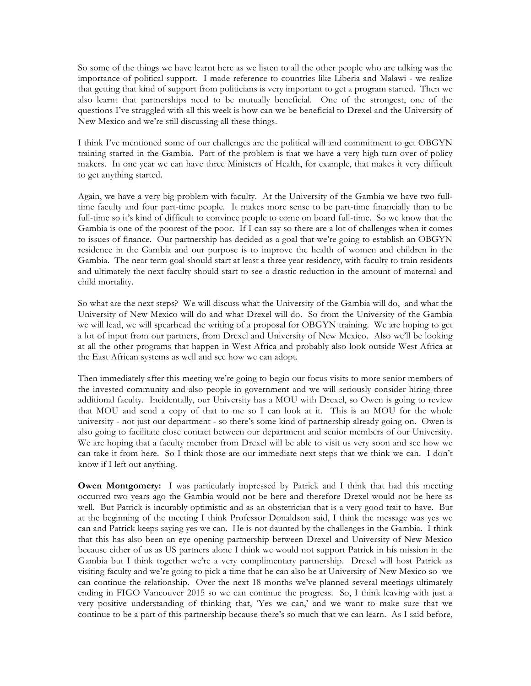So some of the things we have learnt here as we listen to all the other people who are talking was the importance of political support. I made reference to countries like Liberia and Malawi - we realize that getting that kind of support from politicians is very important to get a program started. Then we also learnt that partnerships need to be mutually beneficial. One of the strongest, one of the questions I've struggled with all this week is how can we be beneficial to Drexel and the University of New Mexico and we're still discussing all these things.

I think I've mentioned some of our challenges are the political will and commitment to get OBGYN training started in the Gambia. Part of the problem is that we have a very high turn over of policy makers. In one year we can have three Ministers of Health, for example, that makes it very difficult to get anything started.

Again, we have a very big problem with faculty. At the University of the Gambia we have two fulltime faculty and four part-time people. It makes more sense to be part-time financially than to be full-time so it's kind of difficult to convince people to come on board full-time. So we know that the Gambia is one of the poorest of the poor. If I can say so there are a lot of challenges when it comes to issues of finance. Our partnership has decided as a goal that we're going to establish an OBGYN residence in the Gambia and our purpose is to improve the health of women and children in the Gambia. The near term goal should start at least a three year residency, with faculty to train residents and ultimately the next faculty should start to see a drastic reduction in the amount of maternal and child mortality.

So what are the next steps? We will discuss what the University of the Gambia will do, and what the University of New Mexico will do and what Drexel will do. So from the University of the Gambia we will lead, we will spearhead the writing of a proposal for OBGYN training. We are hoping to get a lot of input from our partners, from Drexel and University of New Mexico. Also we'll be looking at all the other programs that happen in West Africa and probably also look outside West Africa at the East African systems as well and see how we can adopt.

Then immediately after this meeting we're going to begin our focus visits to more senior members of the invested community and also people in government and we will seriously consider hiring three additional faculty. Incidentally, our University has a MOU with Drexel, so Owen is going to review that MOU and send a copy of that to me so I can look at it. This is an MOU for the whole university - not just our department - so there's some kind of partnership already going on. Owen is also going to facilitate close contact between our department and senior members of our University. We are hoping that a faculty member from Drexel will be able to visit us very soon and see how we can take it from here. So I think those are our immediate next steps that we think we can. I don't know if I left out anything.

**Owen Montgomery:** I was particularly impressed by Patrick and I think that had this meeting occurred two years ago the Gambia would not be here and therefore Drexel would not be here as well. But Patrick is incurably optimistic and as an obstetrician that is a very good trait to have. But at the beginning of the meeting I think Professor Donaldson said, I think the message was yes we can and Patrick keeps saying yes we can. He is not daunted by the challenges in the Gambia. I think that this has also been an eye opening partnership between Drexel and University of New Mexico because either of us as US partners alone I think we would not support Patrick in his mission in the Gambia but I think together we're a very complimentary partnership. Drexel will host Patrick as visiting faculty and we're going to pick a time that he can also be at University of New Mexico so we can continue the relationship. Over the next 18 months we've planned several meetings ultimately ending in FIGO Vancouver 2015 so we can continue the progress. So, I think leaving with just a very positive understanding of thinking that, 'Yes we can,' and we want to make sure that we continue to be a part of this partnership because there's so much that we can learn. As I said before,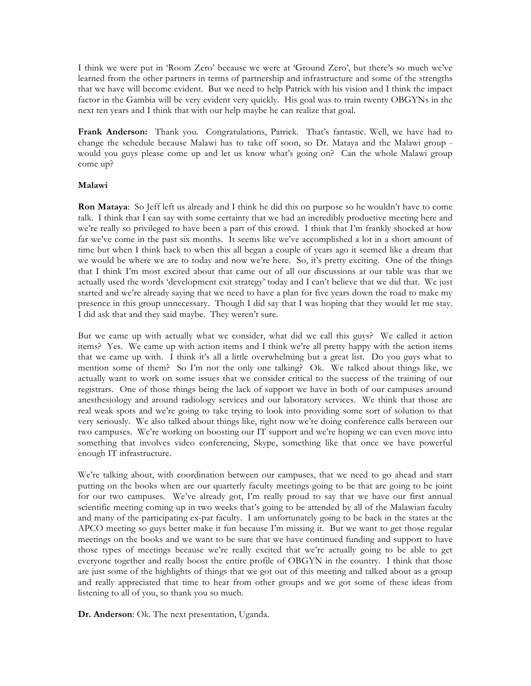I think we were put in 'Room Zero' because we were at 'Ground Zero', but there's so much we've learned from the other partners in terms of partnership and infrastructure and some of the strengths that we have will become evident. But we need to help Patrick with his vision and I think the impact factor in the Gambia will be very evident very quickly. His goal was to train twenty OBGYNs in the next ten years and I think that with our help maybe he can realize that goal.

**Frank Anderson:** Thank you. Congratulations, Patrick. That's fantastic. Well, we have had to change the schedule because Malawi has to take off soon, so Dr. Mataya and the Malawi group would you guys please come up and let us know what's going on? Can the whole Malawi group come up?

# **Malawi**

**Ron Mataya**: So Jeff left us already and I think he did this on purpose so he wouldn't have to come talk. I think that I can say with some certainty that we had an incredibly productive meeting here and we're really so privileged to have been a part of this crowd. I think that I'm frankly shocked at how far we've come in the past six months. It seems like we've accomplished a lot in a short amount of time but when I think back to when this all began a couple of years ago it seemed like a dream that we would be where we are to today and now we're here. So, it's pretty exciting. One of the things that I think I'm most excited about that came out of all our discussions at our table was that we actually used the words 'development exit strategy' today and I can't believe that we did that. We just started and we're already saying that we need to have a plan for five years down the road to make my presence in this group unnecessary. Though I did say that I was hoping that they would let me stay. I did ask that and they said maybe. They weren't sure.

But we came up with actually what we consider, what did we call this guys? We called it action items? Yes. We came up with action items and I think we're all pretty happy with the action items that we came up with. I think it's all a little overwhelming but a great list. Do you guys what to mention some of them? So I'm not the only one talking? Ok. We talked about things like, we actually want to work on some issues that we consider critical to the success of the training of our registrars. One of those things being the lack of support we have in both of our campuses around anesthesiology and around radiology services and our laboratory services. We think that those are real weak spots and we're going to take trying to look into providing some sort of solution to that very seriously. We also talked about things like, right now we're doing conference calls between our two campuses. We're working on boosting our IT support and we're hoping we can even move into something that involves video conferencing, Skype, something like that once we have powerful enough IT infrastructure.

We're talking about, with coordination between our campuses, that we need to go ahead and start putting on the books when are our quarterly faculty meetings going to be that are going to be joint for our two campuses. We've already got, I'm really proud to say that we have our first annual scientific meeting coming up in two weeks that's going to be attended by all of the Malawian faculty and many of the participating ex-pat faculty. I am unfortunately going to be back in the states at the APCO meeting so guys better make it fun because I'm missing it. But we want to get those regular meetings on the books and we want to be sure that we have continued funding and support to have those types of meetings because we're really excited that we're actually going to be able to get everyone together and really boost the entire profile of OBGYN in the country. I think that those are just some of the highlights of things that we got out of this meeting and talked about as a group and really appreciated that time to hear from other groups and we got some of these ideas from listening to all of you, so thank you so much.

**Dr. Anderson**: Ok. The next presentation, Uganda.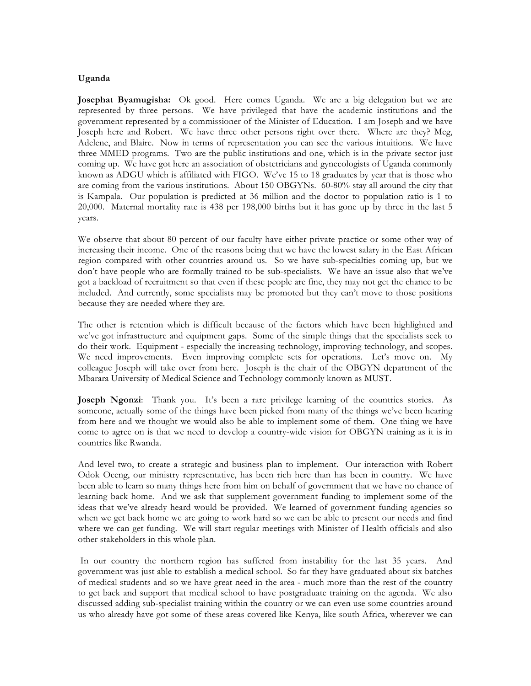## **Uganda**

**Josephat Byamugisha:** Ok good. Here comes Uganda. We are a big delegation but we are represented by three persons. We have privileged that have the academic institutions and the government represented by a commissioner of the Minister of Education. I am Joseph and we have Joseph here and Robert. We have three other persons right over there. Where are they? Meg, Adelene, and Blaire. Now in terms of representation you can see the various intuitions. We have three MMED programs. Two are the public institutions and one, which is in the private sector just coming up. We have got here an association of obstetricians and gynecologists of Uganda commonly known as ADGU which is affiliated with FIGO. We've 15 to 18 graduates by year that is those who are coming from the various institutions. About 150 OBGYNs. 60-80% stay all around the city that is Kampala. Our population is predicted at 36 million and the doctor to population ratio is 1 to 20,000. Maternal mortality rate is 438 per 198,000 births but it has gone up by three in the last 5 years.

We observe that about 80 percent of our faculty have either private practice or some other way of increasing their income. One of the reasons being that we have the lowest salary in the East African region compared with other countries around us. So we have sub-specialties coming up, but we don't have people who are formally trained to be sub-specialists. We have an issue also that we've got a backload of recruitment so that even if these people are fine, they may not get the chance to be included. And currently, some specialists may be promoted but they can't move to those positions because they are needed where they are.

The other is retention which is difficult because of the factors which have been highlighted and we've got infrastructure and equipment gaps. Some of the simple things that the specialists seek to do their work. Equipment - especially the increasing technology, improving technology, and scopes. We need improvements. Even improving complete sets for operations. Let's move on. My colleague Joseph will take over from here. Joseph is the chair of the OBGYN department of the Mbarara University of Medical Science and Technology commonly known as MUST.

**Joseph Ngonzi**: Thank you. It's been a rare privilege learning of the countries stories. As someone, actually some of the things have been picked from many of the things we've been hearing from here and we thought we would also be able to implement some of them. One thing we have come to agree on is that we need to develop a country-wide vision for OBGYN training as it is in countries like Rwanda.

And level two, to create a strategic and business plan to implement. Our interaction with Robert Odok Oceng, our ministry representative, has been rich here than has been in country. We have been able to learn so many things here from him on behalf of government that we have no chance of learning back home. And we ask that supplement government funding to implement some of the ideas that we've already heard would be provided. We learned of government funding agencies so when we get back home we are going to work hard so we can be able to present our needs and find where we can get funding. We will start regular meetings with Minister of Health officials and also other stakeholders in this whole plan.

In our country the northern region has suffered from instability for the last 35 years. And government was just able to establish a medical school. So far they have graduated about six batches of medical students and so we have great need in the area - much more than the rest of the country to get back and support that medical school to have postgraduate training on the agenda. We also discussed adding sub-specialist training within the country or we can even use some countries around us who already have got some of these areas covered like Kenya, like south Africa, wherever we can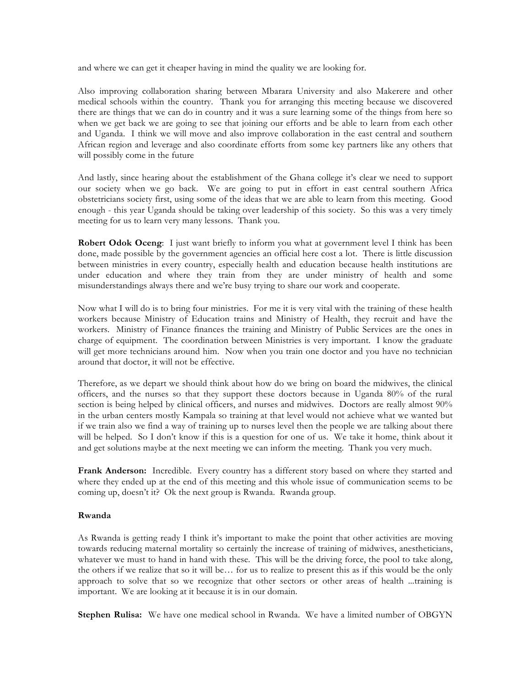and where we can get it cheaper having in mind the quality we are looking for.

Also improving collaboration sharing between Mbarara University and also Makerere and other medical schools within the country. Thank you for arranging this meeting because we discovered there are things that we can do in country and it was a sure learning some of the things from here so when we get back we are going to see that joining our efforts and be able to learn from each other and Uganda. I think we will move and also improve collaboration in the east central and southern African region and leverage and also coordinate efforts from some key partners like any others that will possibly come in the future

And lastly, since hearing about the establishment of the Ghana college it's clear we need to support our society when we go back. We are going to put in effort in east central southern Africa obstetricians society first, using some of the ideas that we are able to learn from this meeting. Good enough - this year Uganda should be taking over leadership of this society. So this was a very timely meeting for us to learn very many lessons. Thank you.

**Robert Odok Oceng**: I just want briefly to inform you what at government level I think has been done, made possible by the government agencies an official here cost a lot. There is little discussion between ministries in every country, especially health and education because health institutions are under education and where they train from they are under ministry of health and some misunderstandings always there and we're busy trying to share our work and cooperate.

Now what I will do is to bring four ministries. For me it is very vital with the training of these health workers because Ministry of Education trains and Ministry of Health, they recruit and have the workers. Ministry of Finance finances the training and Ministry of Public Services are the ones in charge of equipment. The coordination between Ministries is very important. I know the graduate will get more technicians around him. Now when you train one doctor and you have no technician around that doctor, it will not be effective.

Therefore, as we depart we should think about how do we bring on board the midwives, the clinical officers, and the nurses so that they support these doctors because in Uganda 80% of the rural section is being helped by clinical officers, and nurses and midwives. Doctors are really almost 90% in the urban centers mostly Kampala so training at that level would not achieve what we wanted but if we train also we find a way of training up to nurses level then the people we are talking about there will be helped. So I don't know if this is a question for one of us. We take it home, think about it and get solutions maybe at the next meeting we can inform the meeting. Thank you very much.

**Frank Anderson:** Incredible. Every country has a different story based on where they started and where they ended up at the end of this meeting and this whole issue of communication seems to be coming up, doesn't it? Ok the next group is Rwanda. Rwanda group.

# **Rwanda**

As Rwanda is getting ready I think it's important to make the point that other activities are moving towards reducing maternal mortality so certainly the increase of training of midwives, anestheticians, whatever we must to hand in hand with these. This will be the driving force, the pool to take along, the others if we realize that so it will be… for us to realize to present this as if this would be the only approach to solve that so we recognize that other sectors or other areas of health ...training is important. We are looking at it because it is in our domain.

**Stephen Rulisa:** We have one medical school in Rwanda. We have a limited number of OBGYN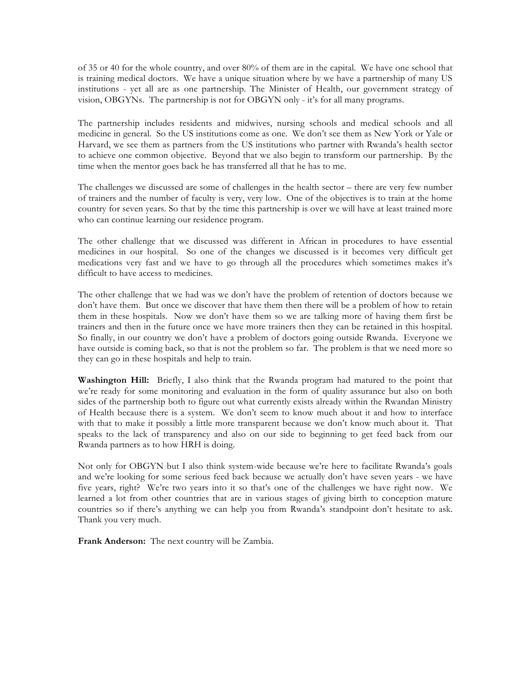of 35 or 40 for the whole country, and over 80% of them are in the capital. We have one school that is training medical doctors. We have a unique situation where by we have a partnership of many US institutions - yet all are as one partnership. The Minister of Health, our government strategy of vision, OBGYNs. The partnership is not for OBGYN only - it's for all many programs.

The partnership includes residents and midwives, nursing schools and medical schools and all medicine in general. So the US institutions come as one. We don't see them as New York or Yale or Harvard, we see them as partners from the US institutions who partner with Rwanda's health sector to achieve one common objective. Beyond that we also begin to transform our partnership. By the time when the mentor goes back he has transferred all that he has to me.

The challenges we discussed are some of challenges in the health sector – there are very few number of trainers and the number of faculty is very, very low. One of the objectives is to train at the home country for seven years. So that by the time this partnership is over we will have at least trained more who can continue learning our residence program.

The other challenge that we discussed was different in African in procedures to have essential medicines in our hospital. So one of the changes we discussed is it becomes very difficult get medications very fast and we have to go through all the procedures which sometimes makes it's difficult to have access to medicines.

The other challenge that we had was we don't have the problem of retention of doctors because we don't have them. But once we discover that have them then there will be a problem of how to retain them in these hospitals. Now we don't have them so we are talking more of having them first be trainers and then in the future once we have more trainers then they can be retained in this hospital. So finally, in our country we don't have a problem of doctors going outside Rwanda. Everyone we have outside is coming back, so that is not the problem so far. The problem is that we need more so they can go in these hospitals and help to train.

**Washington Hill:** Briefly, I also think that the Rwanda program had matured to the point that we're ready for some monitoring and evaluation in the form of quality assurance but also on both sides of the partnership both to figure out what currently exists already within the Rwandan Ministry of Health because there is a system. We don't seem to know much about it and how to interface with that to make it possibly a little more transparent because we don't know much about it. That speaks to the lack of transparency and also on our side to beginning to get feed back from our Rwanda partners as to how HRH is doing.

Not only for OBGYN but I also think system-wide because we're here to facilitate Rwanda's goals and we're looking for some serious feed back because we actually don't have seven years - we have five years, right? We're two years into it so that's one of the challenges we have right now. We learned a lot from other countries that are in various stages of giving birth to conception mature countries so if there's anything we can help you from Rwanda's standpoint don't hesitate to ask. Thank you very much.

**Frank Anderson:** The next country will be Zambia.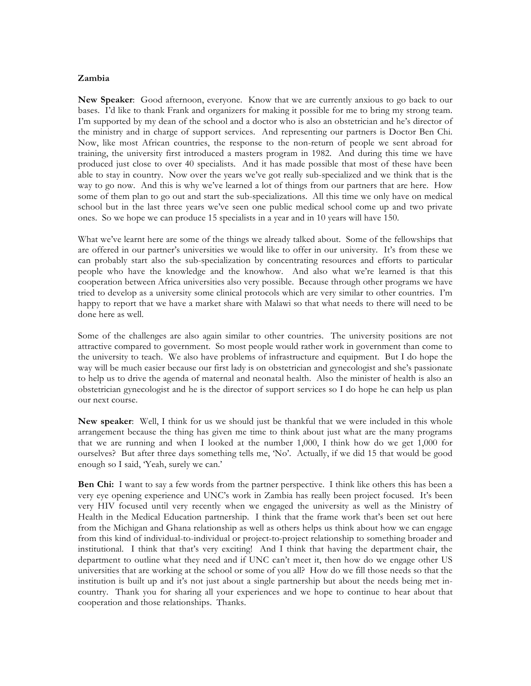#### **Zambia**

**New Speaker**: Good afternoon, everyone. Know that we are currently anxious to go back to our bases. I'd like to thank Frank and organizers for making it possible for me to bring my strong team. I'm supported by my dean of the school and a doctor who is also an obstetrician and he's director of the ministry and in charge of support services. And representing our partners is Doctor Ben Chi. Now, like most African countries, the response to the non-return of people we sent abroad for training, the university first introduced a masters program in 1982. And during this time we have produced just close to over 40 specialists. And it has made possible that most of these have been able to stay in country. Now over the years we've got really sub-specialized and we think that is the way to go now. And this is why we've learned a lot of things from our partners that are here. How some of them plan to go out and start the sub-specializations. All this time we only have on medical school but in the last three years we've seen one public medical school come up and two private ones. So we hope we can produce 15 specialists in a year and in 10 years will have 150.

What we've learnt here are some of the things we already talked about. Some of the fellowships that are offered in our partner's universities we would like to offer in our university. It's from these we can probably start also the sub-specialization by concentrating resources and efforts to particular people who have the knowledge and the knowhow. And also what we're learned is that this cooperation between Africa universities also very possible. Because through other programs we have tried to develop as a university some clinical protocols which are very similar to other countries. I'm happy to report that we have a market share with Malawi so that what needs to there will need to be done here as well.

Some of the challenges are also again similar to other countries. The university positions are not attractive compared to government. So most people would rather work in government than come to the university to teach. We also have problems of infrastructure and equipment. But I do hope the way will be much easier because our first lady is on obstetrician and gynecologist and she's passionate to help us to drive the agenda of maternal and neonatal health. Also the minister of health is also an obstetrician gynecologist and he is the director of support services so I do hope he can help us plan our next course.

**New speaker**: Well, I think for us we should just be thankful that we were included in this whole arrangement because the thing has given me time to think about just what are the many programs that we are running and when I looked at the number 1,000, I think how do we get 1,000 for ourselves? But after three days something tells me, 'No'. Actually, if we did 15 that would be good enough so I said, 'Yeah, surely we can.'

**Ben Chi:** I want to say a few words from the partner perspective. I think like others this has been a very eye opening experience and UNC's work in Zambia has really been project focused. It's been very HIV focused until very recently when we engaged the university as well as the Ministry of Health in the Medical Education partnership. I think that the frame work that's been set out here from the Michigan and Ghana relationship as well as others helps us think about how we can engage from this kind of individual-to-individual or project-to-project relationship to something broader and institutional. I think that that's very exciting! And I think that having the department chair, the department to outline what they need and if UNC can't meet it, then how do we engage other US universities that are working at the school or some of you all? How do we fill those needs so that the institution is built up and it's not just about a single partnership but about the needs being met incountry. Thank you for sharing all your experiences and we hope to continue to hear about that cooperation and those relationships. Thanks.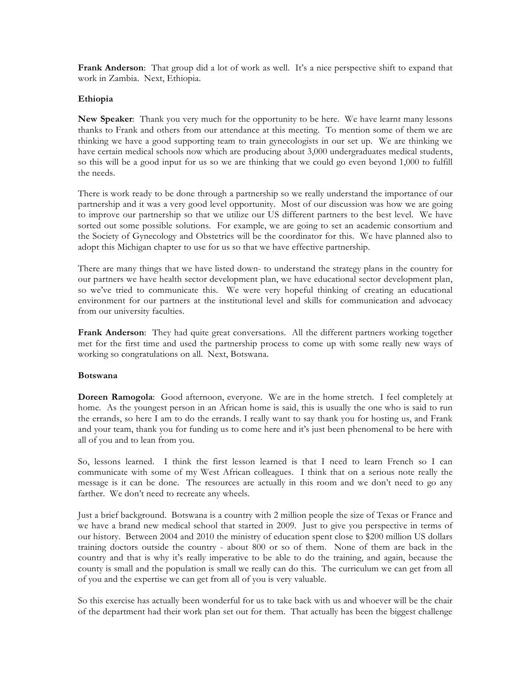**Frank Anderson**: That group did a lot of work as well. It's a nice perspective shift to expand that work in Zambia. Next, Ethiopia.

## **Ethiopia**

**New Speaker**: Thank you very much for the opportunity to be here. We have learnt many lessons thanks to Frank and others from our attendance at this meeting. To mention some of them we are thinking we have a good supporting team to train gynecologists in our set up. We are thinking we have certain medical schools now which are producing about 3,000 undergraduates medical students, so this will be a good input for us so we are thinking that we could go even beyond 1,000 to fulfill the needs.

There is work ready to be done through a partnership so we really understand the importance of our partnership and it was a very good level opportunity. Most of our discussion was how we are going to improve our partnership so that we utilize our US different partners to the best level. We have sorted out some possible solutions. For example, we are going to set an academic consortium and the Society of Gynecology and Obstetrics will be the coordinator for this. We have planned also to adopt this Michigan chapter to use for us so that we have effective partnership.

There are many things that we have listed down- to understand the strategy plans in the country for our partners we have health sector development plan, we have educational sector development plan, so we've tried to communicate this. We were very hopeful thinking of creating an educational environment for our partners at the institutional level and skills for communication and advocacy from our university faculties.

**Frank Anderson**: They had quite great conversations. All the different partners working together met for the first time and used the partnership process to come up with some really new ways of working so congratulations on all. Next, Botswana.

#### **Botswana**

**Doreen Ramogola**: Good afternoon, everyone. We are in the home stretch. I feel completely at home. As the youngest person in an African home is said, this is usually the one who is said to run the errands, so here I am to do the errands. I really want to say thank you for hosting us, and Frank and your team, thank you for funding us to come here and it's just been phenomenal to be here with all of you and to lean from you.

So, lessons learned. I think the first lesson learned is that I need to learn French so I can communicate with some of my West African colleagues. I think that on a serious note really the message is it can be done. The resources are actually in this room and we don't need to go any farther. We don't need to recreate any wheels.

Just a brief background. Botswana is a country with 2 million people the size of Texas or France and we have a brand new medical school that started in 2009. Just to give you perspective in terms of our history. Between 2004 and 2010 the ministry of education spent close to \$200 million US dollars training doctors outside the country - about 800 or so of them. None of them are back in the country and that is why it's really imperative to be able to do the training, and again, because the county is small and the population is small we really can do this. The curriculum we can get from all of you and the expertise we can get from all of you is very valuable.

So this exercise has actually been wonderful for us to take back with us and whoever will be the chair of the department had their work plan set out for them. That actually has been the biggest challenge